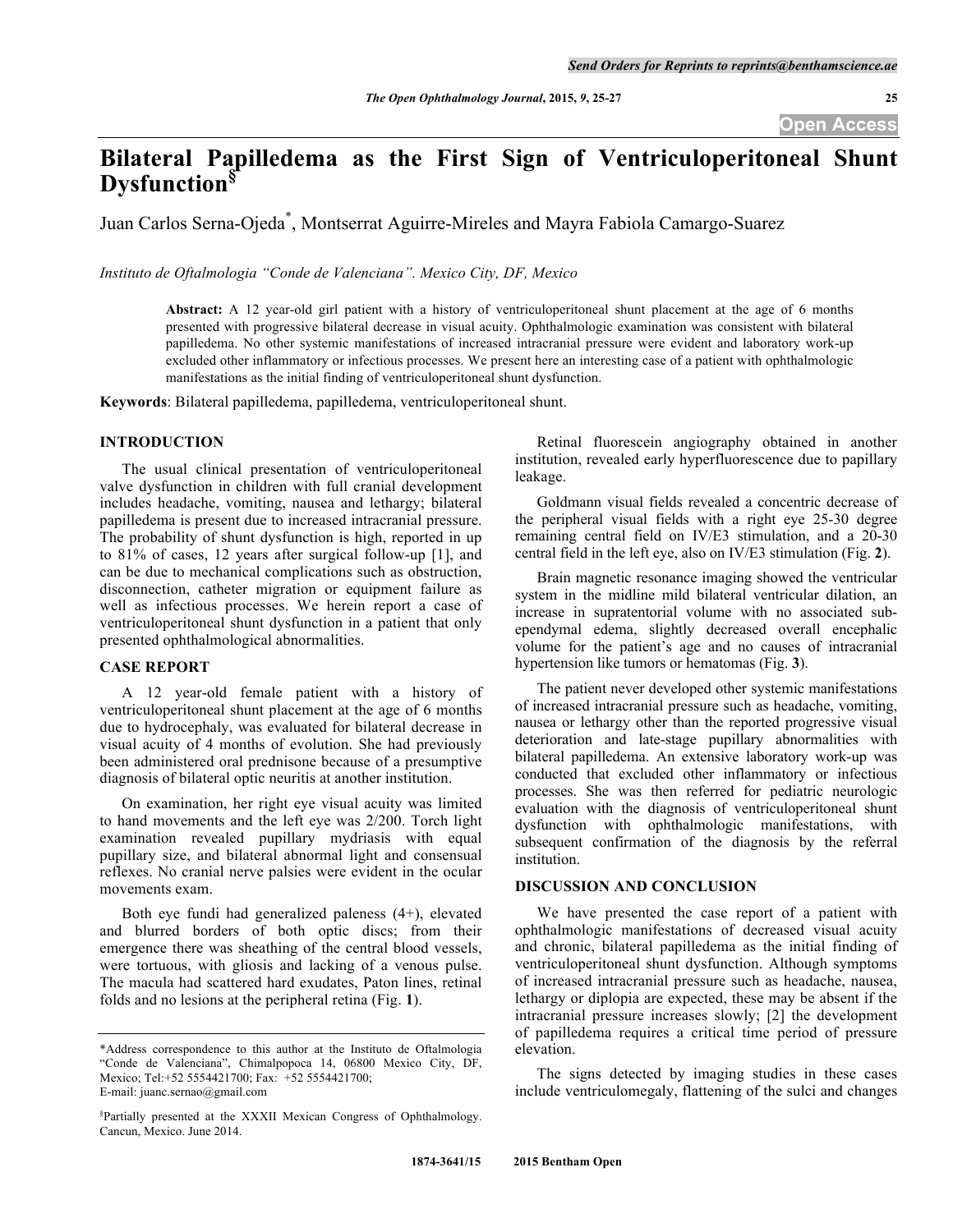# **Bilateral Papilledema as the First Sign of Ventriculoperitoneal Shunt Dysfunction§**

Juan Carlos Serna-Ojeda\* , Montserrat Aguirre-Mireles and Mayra Fabiola Camargo-Suarez

*Instituto de Oftalmologia "Conde de Valenciana". Mexico City, DF, Mexico*

**Abstract:** A 12 year-old girl patient with a history of ventriculoperitoneal shunt placement at the age of 6 months presented with progressive bilateral decrease in visual acuity. Ophthalmologic examination was consistent with bilateral papilledema. No other systemic manifestations of increased intracranial pressure were evident and laboratory work-up excluded other inflammatory or infectious processes. We present here an interesting case of a patient with ophthalmologic manifestations as the initial finding of ventriculoperitoneal shunt dysfunction.

**Keywords**: Bilateral papilledema, papilledema, ventriculoperitoneal shunt.

#### **INTRODUCTION**

The usual clinical presentation of ventriculoperitoneal valve dysfunction in children with full cranial development includes headache, vomiting, nausea and lethargy; bilateral papilledema is present due to increased intracranial pressure. The probability of shunt dysfunction is high, reported in up to 81% of cases, 12 years after surgical follow-up [1], and can be due to mechanical complications such as obstruction, disconnection, catheter migration or equipment failure as well as infectious processes. We herein report a case of ventriculoperitoneal shunt dysfunction in a patient that only presented ophthalmological abnormalities.

# **CASE REPORT**

A 12 year-old female patient with a history of ventriculoperitoneal shunt placement at the age of 6 months due to hydrocephaly, was evaluated for bilateral decrease in visual acuity of 4 months of evolution. She had previously been administered oral prednisone because of a presumptive diagnosis of bilateral optic neuritis at another institution.

On examination, her right eye visual acuity was limited to hand movements and the left eye was 2/200. Torch light examination revealed pupillary mydriasis with equal pupillary size, and bilateral abnormal light and consensual reflexes. No cranial nerve palsies were evident in the ocular movements exam.

Both eye fundi had generalized paleness (4+), elevated and blurred borders of both optic discs; from their emergence there was sheathing of the central blood vessels, were tortuous, with gliosis and lacking of a venous pulse. The macula had scattered hard exudates, Paton lines, retinal folds and no lesions at the peripheral retina (Fig. **1**).

Retinal fluorescein angiography obtained in another institution, revealed early hyperfluorescence due to papillary leakage.

Goldmann visual fields revealed a concentric decrease of the peripheral visual fields with a right eye 25-30 degree remaining central field on IV/E3 stimulation, and a 20-30 central field in the left eye, also on IV/E3 stimulation (Fig. **2**).

Brain magnetic resonance imaging showed the ventricular system in the midline mild bilateral ventricular dilation, an increase in supratentorial volume with no associated subependymal edema, slightly decreased overall encephalic volume for the patient's age and no causes of intracranial hypertension like tumors or hematomas (Fig. **3**).

The patient never developed other systemic manifestations of increased intracranial pressure such as headache, vomiting, nausea or lethargy other than the reported progressive visual deterioration and late-stage pupillary abnormalities with bilateral papilledema. An extensive laboratory work-up was conducted that excluded other inflammatory or infectious processes. She was then referred for pediatric neurologic evaluation with the diagnosis of ventriculoperitoneal shunt dysfunction with ophthalmologic manifestations, with subsequent confirmation of the diagnosis by the referral *institution* 

#### **DISCUSSION AND CONCLUSION**

We have presented the case report of a patient with ophthalmologic manifestations of decreased visual acuity and chronic, bilateral papilledema as the initial finding of ventriculoperitoneal shunt dysfunction. Although symptoms of increased intracranial pressure such as headache, nausea, lethargy or diplopia are expected, these may be absent if the intracranial pressure increases slowly; [2] the development of papilledema requires a critical time period of pressure elevation.

The signs detected by imaging studies in these cases include ventriculomegaly, flattening of the sulci and changes

<sup>\*</sup>Address correspondence to this author at the Instituto de Oftalmologia "Conde de Valenciana", Chimalpopoca 14, 06800 Mexico City, DF, Mexico; Tel:+52 5554421700; Fax: +52 5554421700; E-mail: juanc.sernao@gmail.com

<sup>§</sup> Partially presented at the XXXII Mexican Congress of Ophthalmology. Cancun, Mexico. June 2014.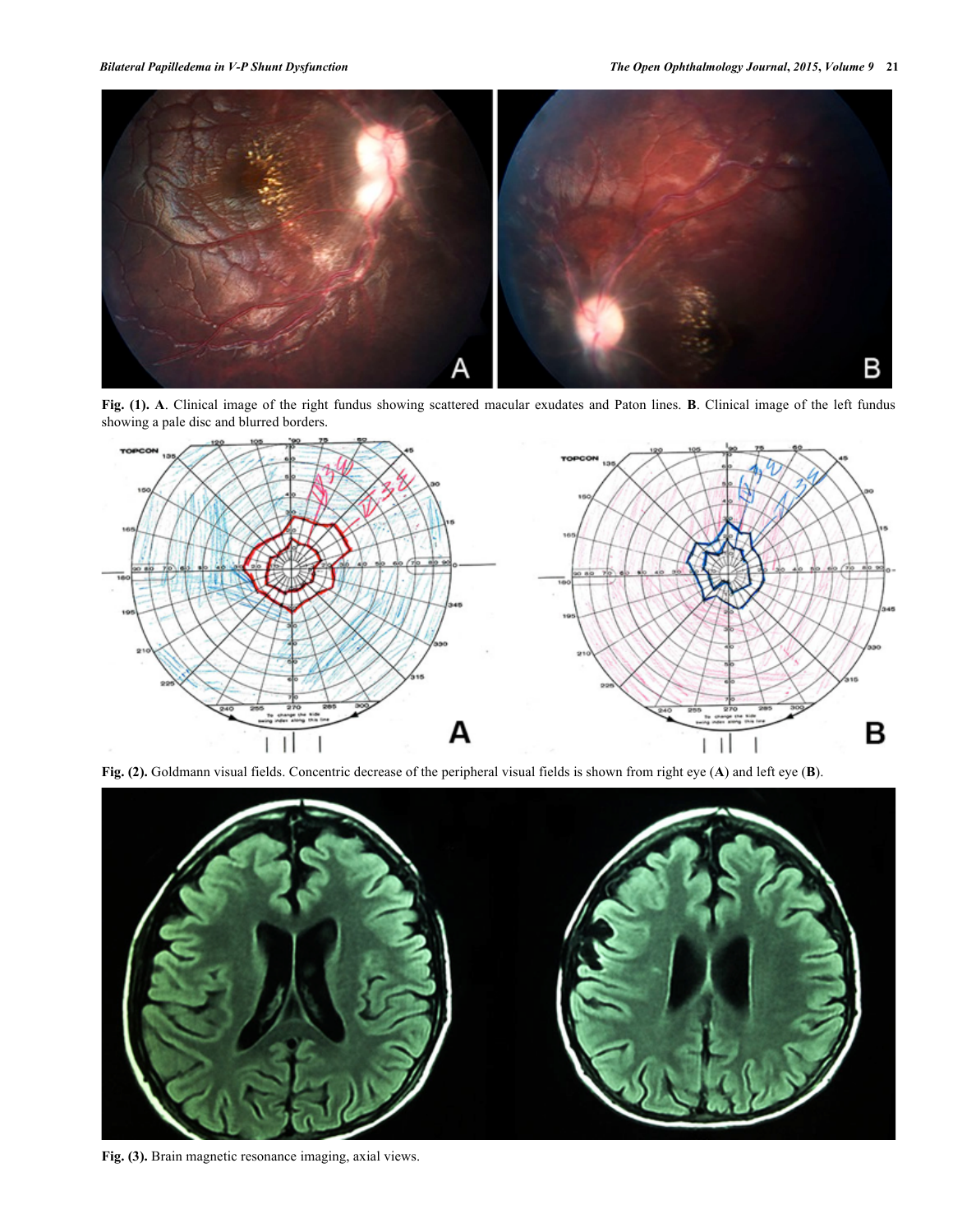

**Fig. (1). A**. Clinical image of the right fundus showing scattered macular exudates and Paton lines. **B**. Clinical image of the left fundus showing a pale disc and blurred borders.



**Fig. (2).** Goldmann visual fields. Concentric decrease of the peripheral visual fields is shown from right eye (**A**) and left eye (**B**).



**Fig. (3).** Brain magnetic resonance imaging, axial views.